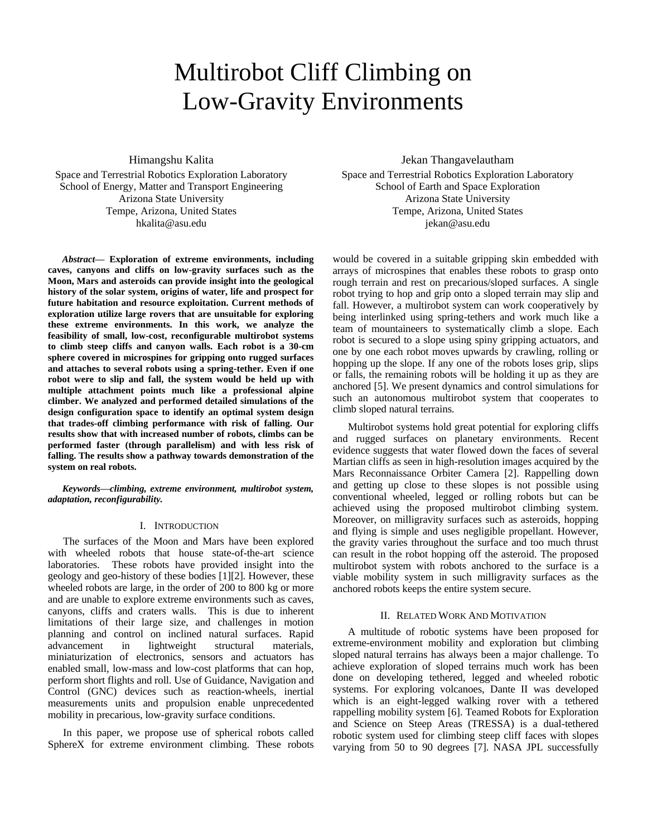# Multirobot Cliff Climbing on Low-Gravity Environments

Himangshu Kalita

Space and Terrestrial Robotics Exploration Laboratory School of Energy, Matter and Transport Engineering Arizona State University Tempe, Arizona, United States hkalita@asu.edu

*Abstract***— Exploration of extreme environments, including caves, canyons and cliffs on low-gravity surfaces such as the Moon, Mars and asteroids can provide insight into the geological history of the solar system, origins of water, life and prospect for future habitation and resource exploitation. Current methods of exploration utilize large rovers that are unsuitable for exploring these extreme environments. In this work, we analyze the feasibility of small, low-cost, reconfigurable multirobot systems to climb steep cliffs and canyon walls. Each robot is a 30-cm sphere covered in microspines for gripping onto rugged surfaces and attaches to several robots using a spring-tether. Even if one robot were to slip and fall, the system would be held up with multiple attachment points much like a professional alpine climber. We analyzed and performed detailed simulations of the design configuration space to identify an optimal system design that trades-off climbing performance with risk of falling. Our results show that with increased number of robots, climbs can be performed faster (through parallelism) and with less risk of falling. The results show a pathway towards demonstration of the system on real robots.**

*Keywords—climbing, extreme environment, multirobot system, adaptation, reconfigurability.*

# I. INTRODUCTION

The surfaces of the Moon and Mars have been explored with wheeled robots that house state-of-the-art science laboratories. These robots have provided insight into the geology and geo-history of these bodies [1][2]. However, these wheeled robots are large, in the order of 200 to 800 kg or more and are unable to explore extreme environments such as caves, canyons, cliffs and craters walls. This is due to inherent limitations of their large size, and challenges in motion planning and control on inclined natural surfaces. Rapid advancement in lightweight structural materials, miniaturization of electronics, sensors and actuators has enabled small, low-mass and low-cost platforms that can hop, perform short flights and roll. Use of Guidance, Navigation and Control (GNC) devices such as reaction-wheels, inertial measurements units and propulsion enable unprecedented mobility in precarious, low-gravity surface conditions.

In this paper, we propose use of spherical robots called SphereX for extreme environment climbing. These robots

Jekan Thangavelautham Space and Terrestrial Robotics Exploration Laboratory School of Earth and Space Exploration Arizona State University Tempe, Arizona, United States jekan@asu.edu

would be covered in a suitable gripping skin embedded with arrays of microspines that enables these robots to grasp onto rough terrain and rest on precarious/sloped surfaces. A single robot trying to hop and grip onto a sloped terrain may slip and fall. However, a multirobot system can work cooperatively by being interlinked using spring-tethers and work much like a team of mountaineers to systematically climb a slope. Each robot is secured to a slope using spiny gripping actuators, and one by one each robot moves upwards by crawling, rolling or hopping up the slope. If any one of the robots loses grip, slips or falls, the remaining robots will be holding it up as they are anchored [5]. We present dynamics and control simulations for such an autonomous multirobot system that cooperates to climb sloped natural terrains.

Multirobot systems hold great potential for exploring cliffs and rugged surfaces on planetary environments. Recent evidence suggests that water flowed down the faces of several Martian cliffs as seen in high-resolution images acquired by the Mars Reconnaissance Orbiter Camera [2]. Rappelling down and getting up close to these slopes is not possible using conventional wheeled, legged or rolling robots but can be achieved using the proposed multirobot climbing system. Moreover, on milligravity surfaces such as asteroids, hopping and flying is simple and uses negligible propellant. However, the gravity varies throughout the surface and too much thrust can result in the robot hopping off the asteroid. The proposed multirobot system with robots anchored to the surface is a viable mobility system in such milligravity surfaces as the anchored robots keeps the entire system secure.

# II. RELATED WORK AND MOTIVATION

A multitude of robotic systems have been proposed for extreme-environment mobility and exploration but climbing sloped natural terrains has always been a major challenge. To achieve exploration of sloped terrains much work has been done on developing tethered, legged and wheeled robotic systems. For exploring volcanoes, Dante II was developed which is an eight-legged walking rover with a tethered rappelling mobility system [6]. Teamed Robots for Exploration and Science on Steep Areas (TRESSA) is a dual-tethered robotic system used for climbing steep cliff faces with slopes varying from 50 to 90 degrees [7]. NASA JPL successfully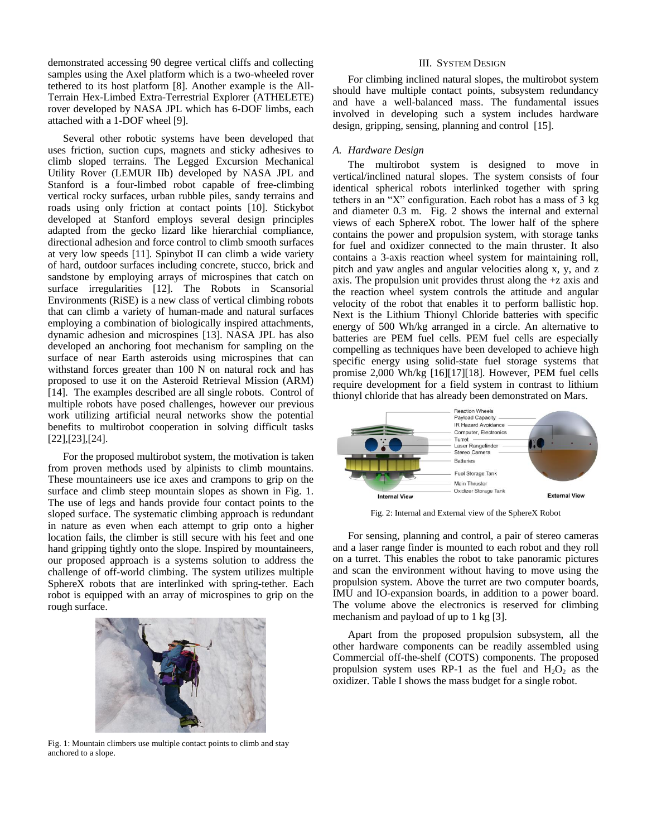demonstrated accessing 90 degree vertical cliffs and collecting samples using the Axel platform which is a two-wheeled rover tethered to its host platform [8]. Another example is the All-Terrain Hex-Limbed Extra-Terrestrial Explorer (ATHELETE) rover developed by NASA JPL which has 6-DOF limbs, each attached with a 1-DOF wheel [9].

Several other robotic systems have been developed that uses friction, suction cups, magnets and sticky adhesives to climb sloped terrains. The Legged Excursion Mechanical Utility Rover (LEMUR IIb) developed by NASA JPL and Stanford is a four-limbed robot capable of free-climbing vertical rocky surfaces, urban rubble piles, sandy terrains and roads using only friction at contact points [10]. Stickybot developed at Stanford employs several design principles adapted from the gecko lizard like hierarchial compliance, directional adhesion and force control to climb smooth surfaces at very low speeds [11]. Spinybot II can climb a wide variety of hard, outdoor surfaces including concrete, stucco, brick and sandstone by employing arrays of microspines that catch on surface irregularities [12]. The Robots in Scansorial Environments (RiSE) is a new class of vertical climbing robots that can climb a variety of human-made and natural surfaces employing a combination of biologically inspired attachments, dynamic adhesion and microspines [13]. NASA JPL has also developed an anchoring foot mechanism for sampling on the surface of near Earth asteroids using microspines that can withstand forces greater than 100 N on natural rock and has proposed to use it on the Asteroid Retrieval Mission (ARM) [14]. The examples described are all single robots. Control of multiple robots have posed challenges, however our previous work utilizing artificial neural networks show the potential benefits to multirobot cooperation in solving difficult tasks [22],[23],[24].

For the proposed multirobot system, the motivation is taken from proven methods used by alpinists to climb mountains. These mountaineers use ice axes and crampons to grip on the surface and climb steep mountain slopes as shown in Fig. 1. The use of legs and hands provide four contact points to the sloped surface. The systematic climbing approach is redundant in nature as even when each attempt to grip onto a higher location fails, the climber is still secure with his feet and one hand gripping tightly onto the slope. Inspired by mountaineers, our proposed approach is a systems solution to address the challenge of off-world climbing. The system utilizes multiple SphereX robots that are interlinked with spring-tether. Each robot is equipped with an array of microspines to grip on the rough surface.



Fig. 1: Mountain climbers use multiple contact points to climb and stay anchored to a slope.

## III. SYSTEM DESIGN

For climbing inclined natural slopes, the multirobot system should have multiple contact points, subsystem redundancy and have a well-balanced mass. The fundamental issues involved in developing such a system includes hardware design, gripping, sensing, planning and control [15].

# *A. Hardware Design*

The multirobot system is designed to move in vertical/inclined natural slopes. The system consists of four identical spherical robots interlinked together with spring tethers in an "X" configuration. Each robot has a mass of 3 kg and diameter 0.3 m. Fig. 2 shows the internal and external views of each SphereX robot. The lower half of the sphere contains the power and propulsion system, with storage tanks for fuel and oxidizer connected to the main thruster. It also contains a 3-axis reaction wheel system for maintaining roll, pitch and yaw angles and angular velocities along x, y, and z axis. The propulsion unit provides thrust along the +z axis and the reaction wheel system controls the attitude and angular velocity of the robot that enables it to perform ballistic hop. Next is the Lithium Thionyl Chloride batteries with specific energy of 500 Wh/kg arranged in a circle. An alternative to batteries are PEM fuel cells. PEM fuel cells are especially compelling as techniques have been developed to achieve high specific energy using solid-state fuel storage systems that promise 2,000 Wh/kg [16][17][18]. However, PEM fuel cells require development for a field system in contrast to lithium thionyl chloride that has already been demonstrated on Mars.



Fig. 2: Internal and External view of the SphereX Robot

For sensing, planning and control, a pair of stereo cameras and a laser range finder is mounted to each robot and they roll on a turret. This enables the robot to take panoramic pictures and scan the environment without having to move using the propulsion system. Above the turret are two computer boards, IMU and IO-expansion boards, in addition to a power board. The volume above the electronics is reserved for climbing mechanism and payload of up to 1 kg [3].

Apart from the proposed propulsion subsystem, all the other hardware components can be readily assembled using Commercial off-the-shelf (COTS) components. The proposed propulsion system uses RP-1 as the fuel and  $H_2O_2$  as the oxidizer. Table I shows the mass budget for a single robot.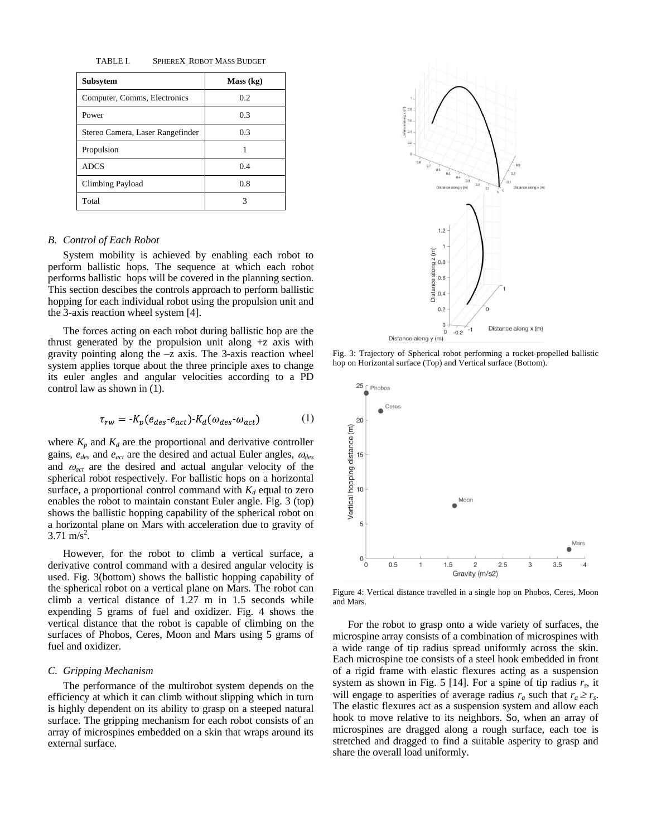TABLE I. SPHEREX ROBOT MASS BUDGET

| <b>Subsytem</b>                  | Mass (kg) |
|----------------------------------|-----------|
| Computer, Comms, Electronics     | 0.2       |
| Power                            | 0.3       |
| Stereo Camera, Laser Rangefinder | 0.3       |
| Propulsion                       | 1         |
| <b>ADCS</b>                      | 0.4       |
| Climbing Payload                 | 0.8       |
| Total                            | 3         |

# *B. Control of Each Robot*

System mobility is achieved by enabling each robot to perform ballistic hops. The sequence at which each robot performs ballistic hops will be covered in the planning section. This section descibes the controls approach to perform ballistic hopping for each individual robot using the propulsion unit and the 3-axis reaction wheel system [4].

The forces acting on each robot during ballistic hop are the thrust generated by the propulsion unit along  $+z$  axis with gravity pointing along the  $-z$  axis. The 3-axis reaction wheel system applies torque about the three principle axes to change its euler angles and angular velocities according to a PD control law as shown in (1).

$$
\tau_{rw} = -K_p(e_{des} \cdot e_{act}) \cdot K_d(\omega_{des} \cdot \omega_{act}) \tag{1}
$$

where  $K_p$  and  $K_d$  are the proportional and derivative controller gains, *edes* and *eact* are the desired and actual Euler angles, *des* and  $\omega_{act}$  are the desired and actual angular velocity of the spherical robot respectively. For ballistic hops on a horizontal surface, a proportional control command with  $K_d$  equal to zero enables the robot to maintain constant Euler angle. Fig. 3 (top) shows the ballistic hopping capability of the spherical robot on a horizontal plane on Mars with acceleration due to gravity of  $3.71 \text{ m/s}^2$ .

However, for the robot to climb a vertical surface, a derivative control command with a desired angular velocity is used. Fig. 3(bottom) shows the ballistic hopping capability of the spherical robot on a vertical plane on Mars. The robot can climb a vertical distance of 1.27 m in 1.5 seconds while expending 5 grams of fuel and oxidizer. Fig. 4 shows the vertical distance that the robot is capable of climbing on the surfaces of Phobos, Ceres, Moon and Mars using 5 grams of fuel and oxidizer.

#### *C. Gripping Mechanism*

The performance of the multirobot system depends on the efficiency at which it can climb without slipping which in turn is highly dependent on its ability to grasp on a steeped natural surface. The gripping mechanism for each robot consists of an array of microspines embedded on a skin that wraps around its external surface.



Fig. 3: Trajectory of Spherical robot performing a rocket-propelled ballistic hop on Horizontal surface (Top) and Vertical surface (Bottom).



Figure 4: Vertical distance travelled in a single hop on Phobos, Ceres, Moon and Mars.

For the robot to grasp onto a wide variety of surfaces, the microspine array consists of a combination of microspines with a wide range of tip radius spread uniformly across the skin. Each microspine toe consists of a steel hook embedded in front of a rigid frame with elastic flexures acting as a suspension system as shown in Fig. 5 [14]. For a spine of tip radius  $r_s$ , it will engage to asperities of average radius  $r_a$  such that  $r_a \ge r_s$ . The elastic flexures act as a suspension system and allow each hook to move relative to its neighbors. So, when an array of microspines are dragged along a rough surface, each toe is stretched and dragged to find a suitable asperity to grasp and share the overall load uniformly.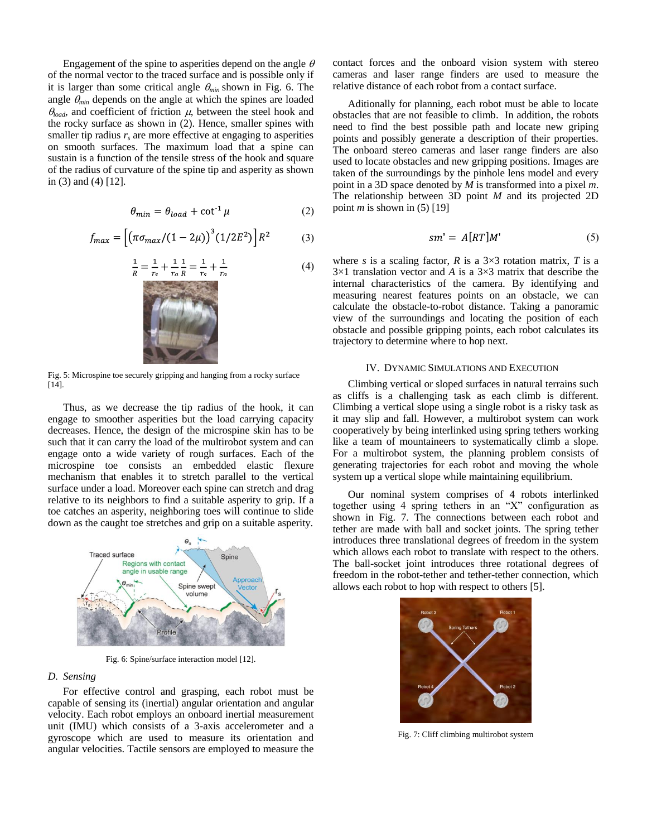Engagement of the spine to asperities depend on the angle  $\theta$ of the normal vector to the traced surface and is possible only if it is larger than some critical angle  $\theta_{min}$  shown in Fig. 6. The angle  $\theta_{min}$  depends on the angle at which the spines are loaded  $\theta_{load}$ , and coefficient of friction  $\mu$ , between the steel hook and the rocky surface as shown in (2). Hence, smaller spines with smaller tip radius  $r<sub>s</sub>$  are more effective at engaging to asperities on smooth surfaces. The maximum load that a spine can sustain is a function of the tensile stress of the hook and square of the radius of curvature of the spine tip and asperity as shown in (3) and (4) [12].

$$
\theta_{min} = \theta_{load} + \cot^1 \mu \tag{2}
$$

$$
f_{max} = \left[ \left( \pi \sigma_{max} / (1 - 2\mu) \right)^3 (1/2E^2) \right] R^2 \tag{3}
$$

$$
\frac{1}{R} = \frac{1}{r_s} + \frac{1}{r_a} \frac{1}{R} = \frac{1}{r_s} + \frac{1}{r_a}
$$
(4)



Fig. 5: Microspine toe securely gripping and hanging from a rocky surface [14].

Thus, as we decrease the tip radius of the hook, it can engage to smoother asperities but the load carrying capacity decreases. Hence, the design of the microspine skin has to be such that it can carry the load of the multirobot system and can engage onto a wide variety of rough surfaces. Each of the microspine toe consists an embedded elastic flexure mechanism that enables it to stretch parallel to the vertical surface under a load. Moreover each spine can stretch and drag relative to its neighbors to find a suitable asperity to grip. If a toe catches an asperity, neighboring toes will continue to slide down as the caught toe stretches and grip on a suitable asperity.



Fig. 6: Spine/surface interaction model [12].

#### *D. Sensing*

For effective control and grasping, each robot must be capable of sensing its (inertial) angular orientation and angular velocity. Each robot employs an onboard inertial measurement unit (IMU) which consists of a 3-axis accelerometer and a gyroscope which are used to measure its orientation and angular velocities. Tactile sensors are employed to measure the

contact forces and the onboard vision system with stereo cameras and laser range finders are used to measure the relative distance of each robot from a contact surface.

Aditionally for planning, each robot must be able to locate obstacles that are not feasible to climb. In addition, the robots need to find the best possible path and locate new griping points and possibly generate a description of their properties. The onboard stereo cameras and laser range finders are also used to locate obstacles and new gripping positions. Images are taken of the surroundings by the pinhole lens model and every point in a 3D space denoted by *M* is transformed into a pixel *m*. The relationship between 3D point *M* and its projected 2D point *m* is shown in  $(5)$  [19]

$$
sm' = A[RT]M'
$$
 (5)

where *s* is a scaling factor, *R* is a  $3\times3$  rotation matrix, *T* is a 3×1 translation vector and *A* is a 3×3 matrix that describe the internal characteristics of the camera. By identifying and measuring nearest features points on an obstacle, we can calculate the obstacle-to-robot distance. Taking a panoramic view of the surroundings and locating the position of each obstacle and possible gripping points, each robot calculates its trajectory to determine where to hop next.

## IV. DYNAMIC SIMULATIONS AND EXECUTION

Climbing vertical or sloped surfaces in natural terrains such as cliffs is a challenging task as each climb is different. Climbing a vertical slope using a single robot is a risky task as it may slip and fall. However, a multirobot system can work cooperatively by being interlinked using spring tethers working like a team of mountaineers to systematically climb a slope. For a multirobot system, the planning problem consists of generating trajectories for each robot and moving the whole system up a vertical slope while maintaining equilibrium.

Our nominal system comprises of 4 robots interlinked together using 4 spring tethers in an "X" configuration as shown in Fig. 7. The connections between each robot and tether are made with ball and socket joints. The spring tether introduces three translational degrees of freedom in the system which allows each robot to translate with respect to the others. The ball-socket joint introduces three rotational degrees of freedom in the robot-tether and tether-tether connection, which allows each robot to hop with respect to others [5].



Fig. 7: Cliff climbing multirobot system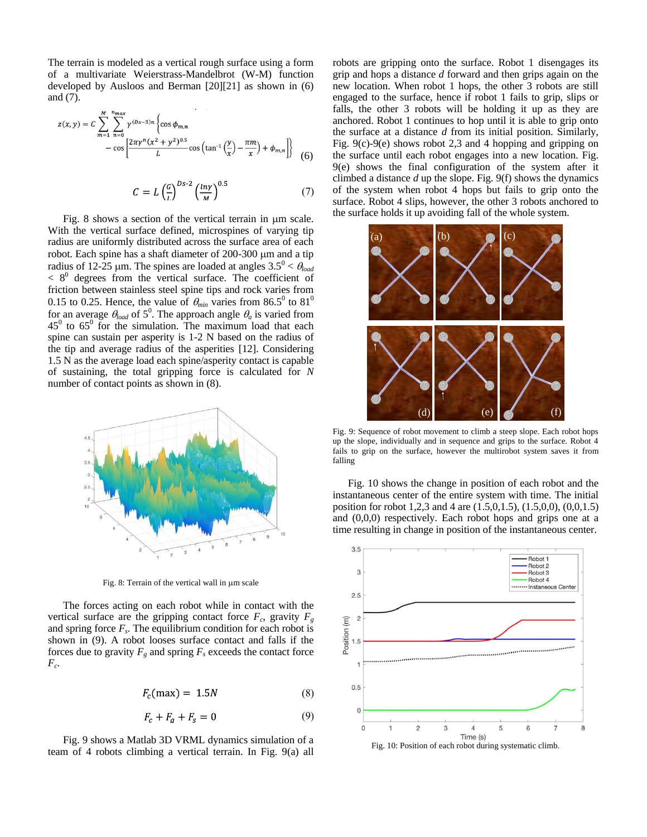The terrain is modeled as a vertical rough surface using a form of a multivariate Weierstrass-Mandelbrot (W-M) function developed by Ausloos and Berman [20][21] as shown in (6) and (7).

$$
z(x,y) = C \sum_{m=1}^{M} \sum_{n=0}^{n_{max}} \gamma^{(Ds-3)n} \left\{ \cos \phi_{m,n} - \cos \left[ \frac{2\pi \gamma^n (x^2 + y^2)^{0.5}}{L} \cos \left( \tan^{-1} \left( \frac{y}{x} \right) - \frac{\pi m}{x} \right) + \phi_{m,n} \right] \right\}
$$
(6)

$$
C = L \left(\frac{c}{L}\right)^{Ds-2} \left(\frac{\ln \gamma}{M}\right)^{0.5} \tag{7}
$$

Fig. 8 shows a section of the vertical terrain in  $\mu$ m scale. With the vertical surface defined, microspines of varying tip radius are uniformly distributed across the surface area of each robot. Each spine has a shaft diameter of  $200-300$   $\mu$ m and a tip radius of 12-25  $\mu$ m. The spines are loaded at angles  $3.5^{\circ} < \theta_{load}$  $< 8<sup>0</sup>$  degrees from the vertical surface. The coefficient of friction between stainless steel spine tips and rock varies from 0.15 to 0.25. Hence, the value of  $\theta_{min}$  varies from 86.5<sup>0</sup> to 81<sup>0</sup> for an average  $\theta_{load}$  of 5<sup>0</sup>. The approach angle  $\theta_a$  is varied from  $45^{\circ}$  to  $65^{\circ}$  for the simulation. The maximum load that each spine can sustain per asperity is 1-2 N based on the radius of the tip and average radius of the asperities [12]. Considering 1.5 N as the average load each spine/asperity contact is capable of sustaining, the total gripping force is calculated for *N* number of contact points as shown in (8).



Fig. 8: Terrain of the vertical wall in  $\mu$ m scale

The forces acting on each robot while in contact with the vertical surface are the gripping contact force  $F_c$ , gravity  $F_g$ and spring force  $F_s$ . The equilibrium condition for each robot is shown in (9). A robot looses surface contact and falls if the forces due to gravity  $F_g$  and spring  $F_g$  exceeds the contact force *Fc* .

$$
F_c(\text{max}) = 1.5N\tag{8}
$$

$$
F_c + F_g + F_s = 0 \tag{9}
$$

Fig. 9 shows a Matlab 3D VRML dynamics simulation of a team of 4 robots climbing a vertical terrain. In Fig. 9(a) all robots are gripping onto the surface. Robot 1 disengages its grip and hops a distance *d* forward and then grips again on the new location. When robot 1 hops, the other 3 robots are still engaged to the surface, hence if robot 1 fails to grip, slips or falls, the other 3 robots will be holding it up as they are anchored. Robot 1 continues to hop until it is able to grip onto the surface at a distance *d* from its initial position. Similarly, Fig. 9(c)-9(e) shows robot 2,3 and 4 hopping and gripping on the surface until each robot engages into a new location. Fig. 9(e) shows the final configuration of the system after it climbed a distance *d* up the slope. Fig. 9(f) shows the dynamics of the system when robot 4 hops but fails to grip onto the surface. Robot 4 slips, however, the other 3 robots anchored to the surface holds it up avoiding fall of the whole system.



Fig. 9: Sequence of robot movement to climb a steep slope. Each robot hops up the slope, individually and in sequence and grips to the surface. Robot 4 fails to grip on the surface, however the multirobot system saves it from falling

Fig. 10 shows the change in position of each robot and the instantaneous center of the entire system with time. The initial position for robot 1,2,3 and 4 are (1.5,0,1.5), (1.5,0,0), (0,0,1.5) and (0,0,0) respectively. Each robot hops and grips one at a time resulting in change in position of the instantaneous center.



Fig. 10: Position of each robot during systematic climb.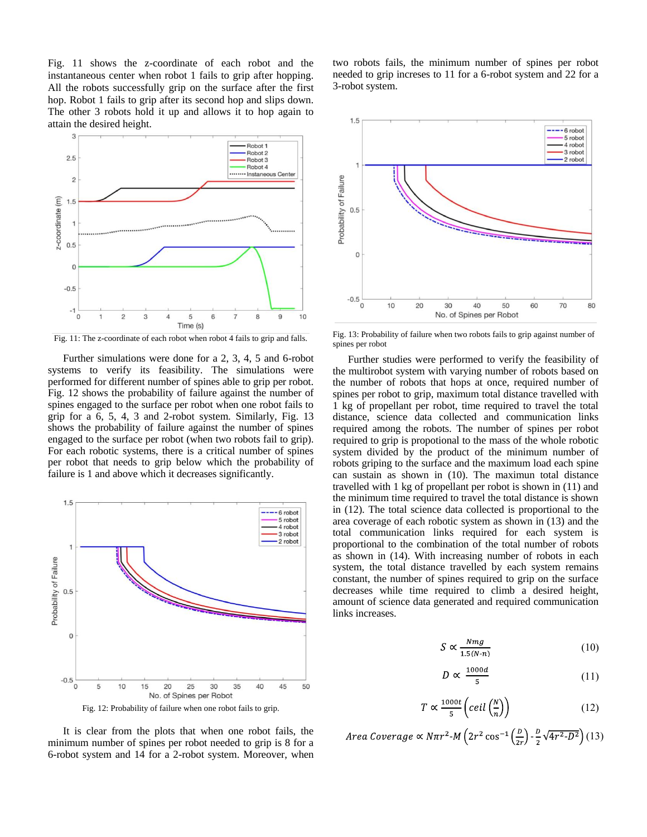Fig. 11 shows the z-coordinate of each robot and the instantaneous center when robot 1 fails to grip after hopping. All the robots successfully grip on the surface after the first hop. Robot 1 fails to grip after its second hop and slips down. The other 3 robots hold it up and allows it to hop again to attain the desired height.



Fig. 11: The z-coordinate of each robot when robot 4 fails to grip and falls.

Further simulations were done for a 2, 3, 4, 5 and 6-robot systems to verify its feasibility. The simulations were performed for different number of spines able to grip per robot. Fig. 12 shows the probability of failure against the number of spines engaged to the surface per robot when one robot fails to grip for a 6, 5, 4, 3 and 2-robot system. Similarly, Fig. 13 shows the probability of failure against the number of spines engaged to the surface per robot (when two robots fail to grip). For each robotic systems, there is a critical number of spines per robot that needs to grip below which the probability of failure is 1 and above which it decreases significantly.



It is clear from the plots that when one robot fails, the minimum number of spines per robot needed to grip is 8 for a 6-robot system and 14 for a 2-robot system. Moreover, when

two robots fails, the minimum number of spines per robot needed to grip increses to 11 for a 6-robot system and 22 for a 3-robot system.



Fig. 13: Probability of failure when two robots fails to grip against number of spines per robot

Further studies were performed to verify the feasibility of the multirobot system with varying number of robots based on the number of robots that hops at once, required number of spines per robot to grip, maximum total distance travelled with 1 kg of propellant per robot, time required to travel the total distance, science data collected and communication links required among the robots. The number of spines per robot required to grip is propotional to the mass of the whole robotic system divided by the product of the minimum number of robots griping to the surface and the maximum load each spine can sustain as shown in (10). The maximun total distance travelled with 1 kg of propellant per robot is shown in (11) and the minimum time required to travel the total distance is shown in (12). The total science data collected is proportional to the area coverage of each robotic system as shown in (13) and the total communication links required for each system is proportional to the combination of the total number of robots as shown in (14). With increasing number of robots in each system, the total distance travelled by each system remains constant, the number of spines required to grip on the surface decreases while time required to climb a desired height, amount of science data generated and required communication links increases.

$$
S \propto \frac{Nmg}{1.5(N-n)}\tag{10}
$$

$$
D \propto \frac{1000d}{5} \tag{11}
$$

$$
T \propto \frac{1000t}{5} \left(ceil \left( \frac{N}{n} \right) \right) \tag{12}
$$

Area Coverage 
$$
\propto N\pi r^2 \cdot M \left(2r^2 \cos^{-1}\left(\frac{D}{2r}\right) - \frac{D}{2}\sqrt{4r^2 \cdot D^2}\right)
$$
 (13)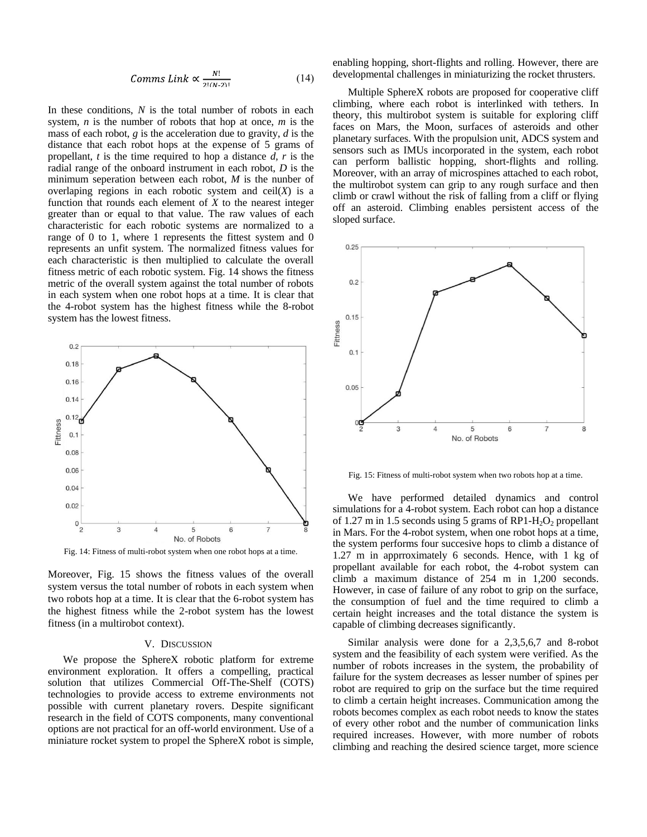$$
Comms Link \propto \frac{N!}{2!(N-2)!}
$$
 (14)

In these conditions, *N* is the total number of robots in each system, *n* is the number of robots that hop at once, *m* is the mass of each robot, *g* is the acceleration due to gravity, *d* is the distance that each robot hops at the expense of 5 grams of propellant, *t* is the time required to hop a distance *d, r* is the radial range of the onboard instrument in each robot, *D* is the minimum seperation between each robot, *M* is the nunber of overlaping regions in each robotic system and  $ceil(X)$  is a function that rounds each element of *X* to the nearest integer greater than or equal to that value. The raw values of each characteristic for each robotic systems are normalized to a range of 0 to 1, where 1 represents the fittest system and 0 represents an unfit system. The normalized fitness values for each characteristic is then multiplied to calculate the overall fitness metric of each robotic system. Fig. 14 shows the fitness metric of the overall system against the total number of robots in each system when one robot hops at a time. It is clear that the 4-robot system has the highest fitness while the 8-robot system has the lowest fitness.



Fig. 14: Fitness of multi-robot system when one robot hops at a time.

Moreover, Fig. 15 shows the fitness values of the overall system versus the total number of robots in each system when two robots hop at a time. It is clear that the 6-robot system has the highest fitness while the 2-robot system has the lowest fitness (in a multirobot context).

### V. DISCUSSION

We propose the SphereX robotic platform for extreme environment exploration. It offers a compelling, practical solution that utilizes Commercial Off-The-Shelf (COTS) technologies to provide access to extreme environments not possible with current planetary rovers. Despite significant research in the field of COTS components, many conventional options are not practical for an off-world environment. Use of a miniature rocket system to propel the SphereX robot is simple, enabling hopping, short-flights and rolling. However, there are developmental challenges in miniaturizing the rocket thrusters.

Multiple SphereX robots are proposed for cooperative cliff climbing, where each robot is interlinked with tethers. In theory, this multirobot system is suitable for exploring cliff faces on Mars, the Moon, surfaces of asteroids and other planetary surfaces. With the propulsion unit, ADCS system and sensors such as IMUs incorporated in the system, each robot can perform ballistic hopping, short-flights and rolling. Moreover, with an array of microspines attached to each robot, the multirobot system can grip to any rough surface and then climb or crawl without the risk of falling from a cliff or flying off an asteroid. Climbing enables persistent access of the sloped surface.



Fig. 15: Fitness of multi-robot system when two robots hop at a time.

We have performed detailed dynamics and control simulations for a 4-robot system. Each robot can hop a distance of 1.27 m in 1.5 seconds using 5 grams of RP1- $H_2O_2$  propellant in Mars. For the 4-robot system, when one robot hops at a time, the system performs four succesive hops to climb a distance of 1.27 m in apprroximately 6 seconds. Hence, with 1 kg of propellant available for each robot, the 4-robot system can climb a maximum distance of 254 m in 1,200 seconds. However, in case of failure of any robot to grip on the surface, the consumption of fuel and the time required to climb a certain height increases and the total distance the system is capable of climbing decreases significantly.

Similar analysis were done for a 2,3,5,6,7 and 8-robot system and the feasibility of each system were verified. As the number of robots increases in the system, the probability of failure for the system decreases as lesser number of spines per robot are required to grip on the surface but the time required to climb a certain height increases. Communication among the robots becomes complex as each robot needs to know the states of every other robot and the number of communication links required increases. However, with more number of robots climbing and reaching the desired science target, more science